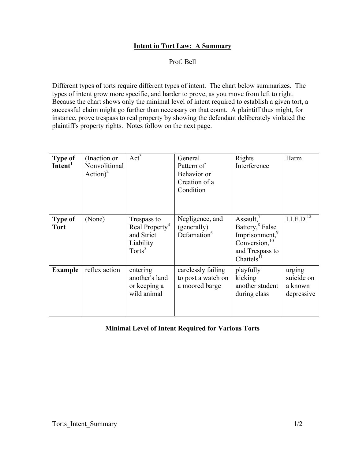## Intent in Tort Law: A Summary

Prof. Bell

Different types of torts require different types of intent. The chart below summarizes. The types of intent grow more specific, and harder to prove, as you move from left to right. Because the chart shows only the minimal level of intent required to establish a given tort, a successful claim might go further than necessary on that count. A plaintiff thus might, for instance, prove trespass to real property by showing the defendant deliberately violated the plaintiff's property rights. Notes follow on the next page.

| <b>Type of</b><br>Intent <sup>1</sup> | (Inaction or<br>Nonvolitional<br>Action) <sup>2</sup> | $Act^3$                                                                           | General<br>Pattern of<br>Behavior or<br>Creation of a<br>Condition | Rights<br>Interference                                                                                                                                        | Harm                                          |
|---------------------------------------|-------------------------------------------------------|-----------------------------------------------------------------------------------|--------------------------------------------------------------------|---------------------------------------------------------------------------------------------------------------------------------------------------------------|-----------------------------------------------|
| <b>Type of</b><br><b>Tort</b>         | (None)                                                | Trespass to<br>Real Property <sup>4</sup><br>and Strict<br>Liability<br>$Torts^5$ | Negligence, and<br>(generally)<br>Defamation <sup>6</sup>          | Assault, $\frac{7}{2}$<br>Battery, <sup>8</sup> False<br>Imprisonment, <sup>9</sup><br>Conversion, <sup>10</sup><br>and Trespass to<br>Chattels <sup>11</sup> | I.I.E.D. <sup>12</sup>                        |
| <b>Example</b>                        | reflex action                                         | entering<br>another's land<br>or keeping a<br>wild animal                         | carelessly failing<br>to post a watch on<br>a moored barge         | playfully<br>kicking<br>another student<br>during class                                                                                                       | urging<br>suicide on<br>a known<br>depressive |

## Minimal Level of Intent Required for Various Torts